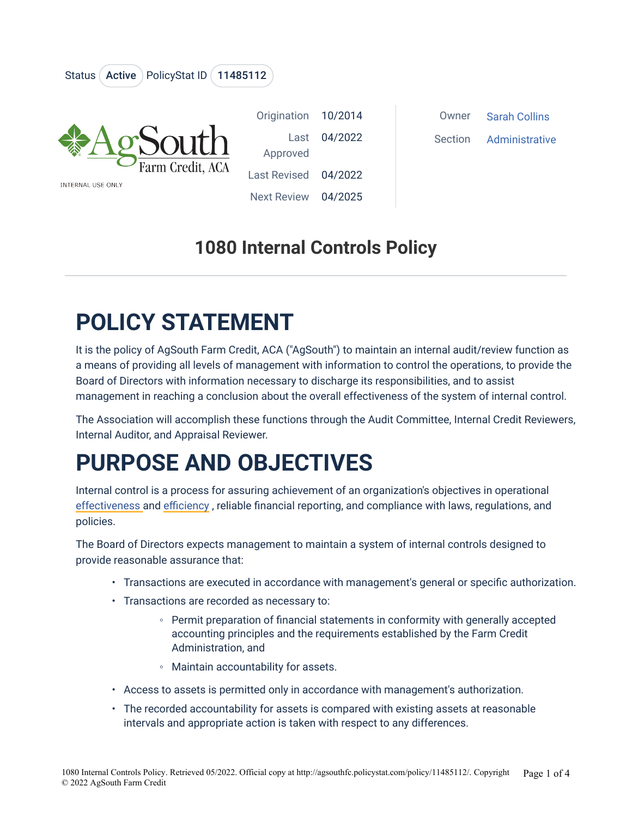

### **1080 Internal Controls Policy**

# **POLICY STATEMENT**

It is the policy of AgSouth Farm Credit, ACA ("AgSouth") to maintain an internal audit/review function as a means of providing all levels of management with information to control the operations, to provide the Board of Directors with information necessary to discharge its responsibilities, and to assist management in reaching a conclusion about the overall effectiveness of the system of internal control.

The Association will accomplish these functions through the Audit Committee, Internal Credit Reviewers, Internal Auditor, and Appraisal Reviewer.

### **PURPOSE AND OBJECTIVES**

Internal control is a process for assuring achievement of an organization's objectives in operational [effectiveness a](/wiki/Effectiveness)nd [efficiency](/wiki/Operational_efficiency) , reliable financial reporting, and compliance with laws, regulations, and policies.

The Board of Directors expects management to maintain a system of internal controls designed to provide reasonable assurance that:

- Transactions are executed in accordance with management's general or specific authorization.
- Transactions are recorded as necessary to:
	- Permit preparation of financial statements in conformity with generally accepted accounting principles and the requirements established by the Farm Credit Administration, and
	- Maintain accountability for assets.
- Access to assets is permitted only in accordance with management's authorization.
- The recorded accountability for assets is compared with existing assets at reasonable intervals and appropriate action is taken with respect to any differences.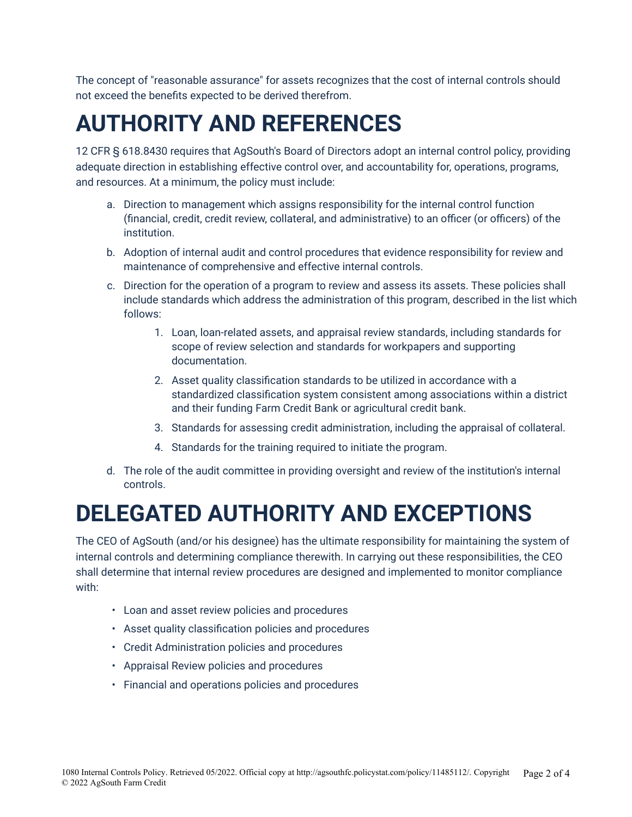The concept of "reasonable assurance" for assets recognizes that the cost of internal controls should not exceed the benefits expected to be derived therefrom.

### **AUTHORITY AND REFERENCES**

12 CFR § 618.8430 requires that AgSouth's Board of Directors adopt an internal control policy, providing adequate direction in establishing effective control over, and accountability for, operations, programs, and resources. At a minimum, the policy must include:

- a. Direction to management which assigns responsibility for the internal control function (financial, credit, credit review, collateral, and administrative) to an officer (or officers) of the institution.
- b. Adoption of internal audit and control procedures that evidence responsibility for review and maintenance of comprehensive and effective internal controls.
- c. Direction for the operation of a program to review and assess its assets. These policies shall include standards which address the administration of this program, described in the list which follows:
	- 1. Loan, loan-related assets, and appraisal review standards, including standards for scope of review selection and standards for workpapers and supporting documentation.
	- 2. Asset quality classification standards to be utilized in accordance with a standardized classification system consistent among associations within a district and their funding Farm Credit Bank or agricultural credit bank.
	- 3. Standards for assessing credit administration, including the appraisal of collateral.
	- 4. Standards for the training required to initiate the program.
- d. The role of the audit committee in providing oversight and review of the institution's internal controls.

### **DELEGATED AUTHORITY AND EXCEPTIONS**

The CEO of AgSouth (and/or his designee) has the ultimate responsibility for maintaining the system of internal controls and determining compliance therewith. In carrying out these responsibilities, the CEO shall determine that internal review procedures are designed and implemented to monitor compliance with:

- Loan and asset review policies and procedures
- Asset quality classification policies and procedures
- Credit Administration policies and procedures
- Appraisal Review policies and procedures
- Financial and operations policies and procedures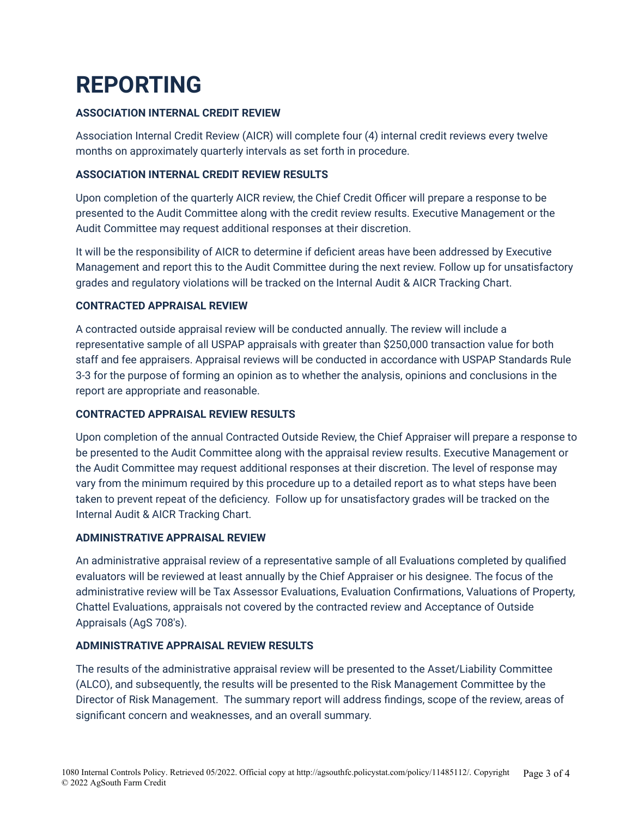# **REPORTING**

#### **ASSOCIATION INTERNAL CREDIT REVIEW**

Association Internal Credit Review (AICR) will complete four (4) internal credit reviews every twelve months on approximately quarterly intervals as set forth in procedure.

#### **ASSOCIATION INTERNAL CREDIT REVIEW RESULTS**

Upon completion of the quarterly AICR review, the Chief Credit Officer will prepare a response to be presented to the Audit Committee along with the credit review results. Executive Management or the Audit Committee may request additional responses at their discretion.

It will be the responsibility of AICR to determine if deficient areas have been addressed by Executive Management and report this to the Audit Committee during the next review. Follow up for unsatisfactory grades and regulatory violations will be tracked on the Internal Audit & AICR Tracking Chart.

#### **CONTRACTED APPRAISAL REVIEW**

A contracted outside appraisal review will be conducted annually. The review will include a representative sample of all USPAP appraisals with greater than \$250,000 transaction value for both staff and fee appraisers. Appraisal reviews will be conducted in accordance with USPAP Standards Rule 3-3 for the purpose of forming an opinion as to whether the analysis, opinions and conclusions in the report are appropriate and reasonable.

#### **CONTRACTED APPRAISAL REVIEW RESULTS**

Upon completion of the annual Contracted Outside Review, the Chief Appraiser will prepare a response to be presented to the Audit Committee along with the appraisal review results. Executive Management or the Audit Committee may request additional responses at their discretion. The level of response may vary from the minimum required by this procedure up to a detailed report as to what steps have been taken to prevent repeat of the deficiency. Follow up for unsatisfactory grades will be tracked on the Internal Audit & AICR Tracking Chart.

#### **ADMINISTRATIVE APPRAISAL REVIEW**

An administrative appraisal review of a representative sample of all Evaluations completed by qualified evaluators will be reviewed at least annually by the Chief Appraiser or his designee. The focus of the administrative review will be Tax Assessor Evaluations, Evaluation Confirmations, Valuations of Property, Chattel Evaluations, appraisals not covered by the contracted review and Acceptance of Outside Appraisals (AgS 708's).

#### **ADMINISTRATIVE APPRAISAL REVIEW RESULTS**

The results of the administrative appraisal review will be presented to the Asset/Liability Committee (ALCO), and subsequently, the results will be presented to the Risk Management Committee by the Director of Risk Management. The summary report will address findings, scope of the review, areas of significant concern and weaknesses, and an overall summary.